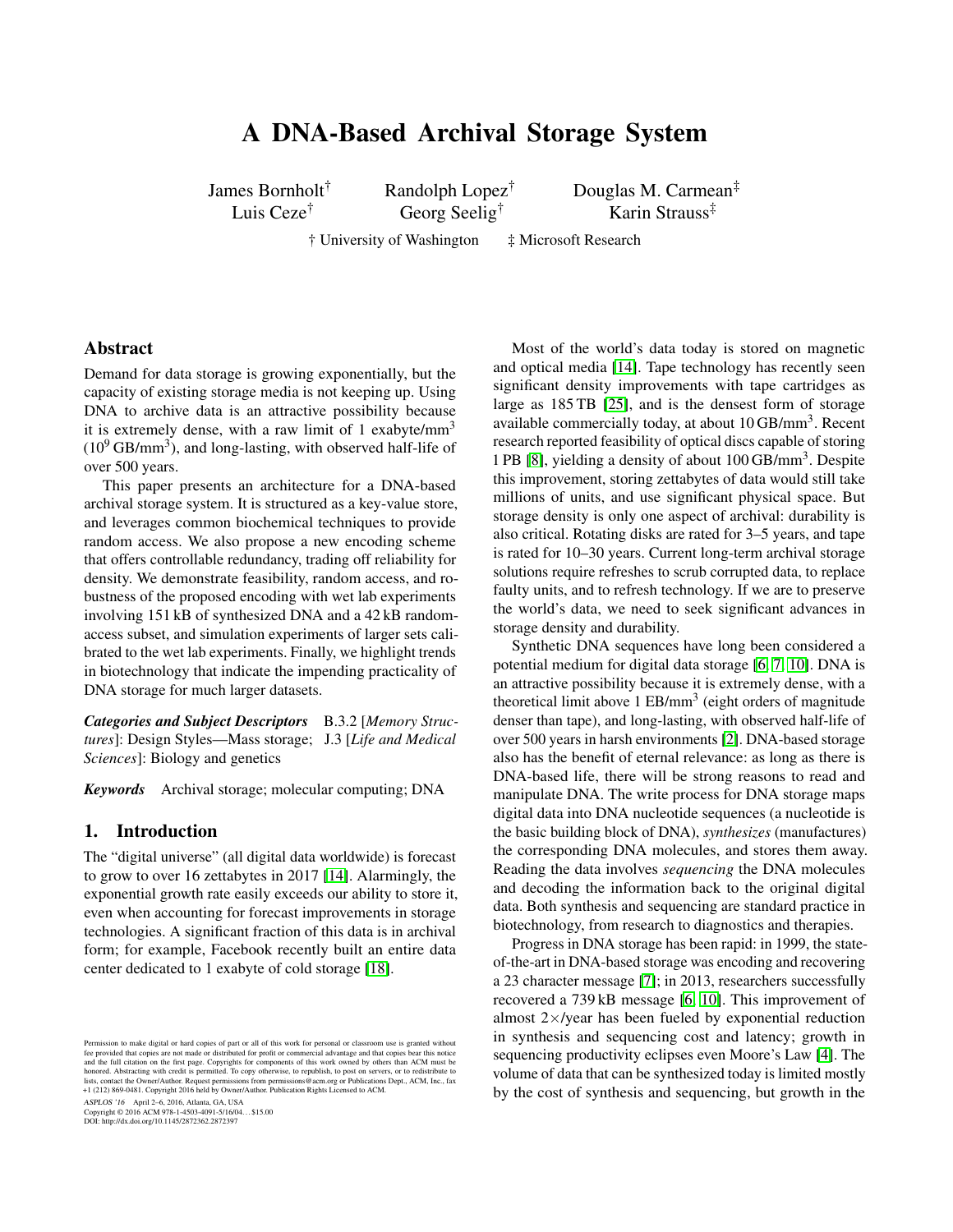# A DNA-Based Archival Storage System

James Bornholt<sup>†</sup> Randolph Lopez<sup>†</sup> Douglas M. Carmean<sup>‡</sup> Luis Ceze<sup>†</sup> Georg Seelig<sup>†</sup> Karin Strauss<sup>‡</sup>

† University of Washington ‡ Microsoft Research

### Abstract

Demand for data storage is growing exponentially, but the capacity of existing storage media is not keeping up. Using DNA to archive data is an attractive possibility because it is extremely dense, with a raw limit of 1 exabyte/ $mm<sup>3</sup>$  $(10^9 \text{ GB/mm}^3)$ , and long-lasting, with observed half-life of over 500 years.

This paper presents an architecture for a DNA-based archival storage system. It is structured as a key-value store, and leverages common biochemical techniques to provide random access. We also propose a new encoding scheme that offers controllable redundancy, trading off reliability for density. We demonstrate feasibility, random access, and robustness of the proposed encoding with wet lab experiments involving 151 kB of synthesized DNA and a 42 kB randomaccess subset, and simulation experiments of larger sets calibrated to the wet lab experiments. Finally, we highlight trends in biotechnology that indicate the impending practicality of DNA storage for much larger datasets.

*Categories and Subject Descriptors* B.3.2 [*Memory Structures*]: Design Styles—Mass storage; J.3 [*Life and Medical Sciences*]: Biology and genetics

*Keywords* Archival storage; molecular computing; DNA

## 1. Introduction

The "digital universe" (all digital data worldwide) is forecast to grow to over 16 zettabytes in 2017 [\[14\]](#page-12-0). Alarmingly, the exponential growth rate easily exceeds our ability to store it, even when accounting for forecast improvements in storage technologies. A significant fraction of this data is in archival form; for example, Facebook recently built an entire data center dedicated to 1 exabyte of cold storage [\[18\]](#page-12-1).

ASPLOS '16 April 2–6, 2016, Atlanta, GA, USA Copyright © 2016 ACM 978-1-4503-4091-5/16/04. . . \$15.00 DOI: http://dx.doi.org/10.1145/2872362.2872397

Most of the world's data today is stored on magnetic and optical media [\[14\]](#page-12-0). Tape technology has recently seen significant density improvements with tape cartridges as large as 185 TB [\[25\]](#page-12-2), and is the densest form of storage available commercially today, at about 10 GB/mm<sup>3</sup>. Recent research reported feasibility of optical discs capable of storing 1 PB [\[8\]](#page-12-3), yielding a density of about 100 GB/mm<sup>3</sup>. Despite this improvement, storing zettabytes of data would still take millions of units, and use significant physical space. But storage density is only one aspect of archival: durability is also critical. Rotating disks are rated for 3–5 years, and tape is rated for 10–30 years. Current long-term archival storage solutions require refreshes to scrub corrupted data, to replace faulty units, and to refresh technology. If we are to preserve the world's data, we need to seek significant advances in storage density and durability.

Synthetic DNA sequences have long been considered a potential medium for digital data storage [\[6,](#page-12-4) [7,](#page-12-5) [10\]](#page-12-6). DNA is an attractive possibility because it is extremely dense, with a theoretical limit above  $1 \text{ EB/mm}^3$  (eight orders of magnitude denser than tape), and long-lasting, with observed half-life of over 500 years in harsh environments [\[2\]](#page-12-7). DNA-based storage also has the benefit of eternal relevance: as long as there is DNA-based life, there will be strong reasons to read and manipulate DNA. The write process for DNA storage maps digital data into DNA nucleotide sequences (a nucleotide is the basic building block of DNA), *synthesizes* (manufactures) the corresponding DNA molecules, and stores them away. Reading the data involves *sequencing* the DNA molecules and decoding the information back to the original digital data. Both synthesis and sequencing are standard practice in biotechnology, from research to diagnostics and therapies.

Progress in DNA storage has been rapid: in 1999, the stateof-the-art in DNA-based storage was encoding and recovering a 23 character message [\[7\]](#page-12-5); in 2013, researchers successfully recovered a 739 kB message [\[6,](#page-12-4) [10\]](#page-12-6). This improvement of almost  $2 \times$ /year has been fueled by exponential reduction in synthesis and sequencing cost and latency; growth in sequencing productivity eclipses even Moore's Law [\[4\]](#page-12-8). The volume of data that can be synthesized today is limited mostly by the cost of synthesis and sequencing, but growth in the

Permission to make digital or hard copies of part or all of this work for personal or classroom use is granted without fee provided that copies are not made or distributed for profit or commercial advantage and that copies bear this notice<br>and the full citation on the first page. Copyrights for components of this work owned by others than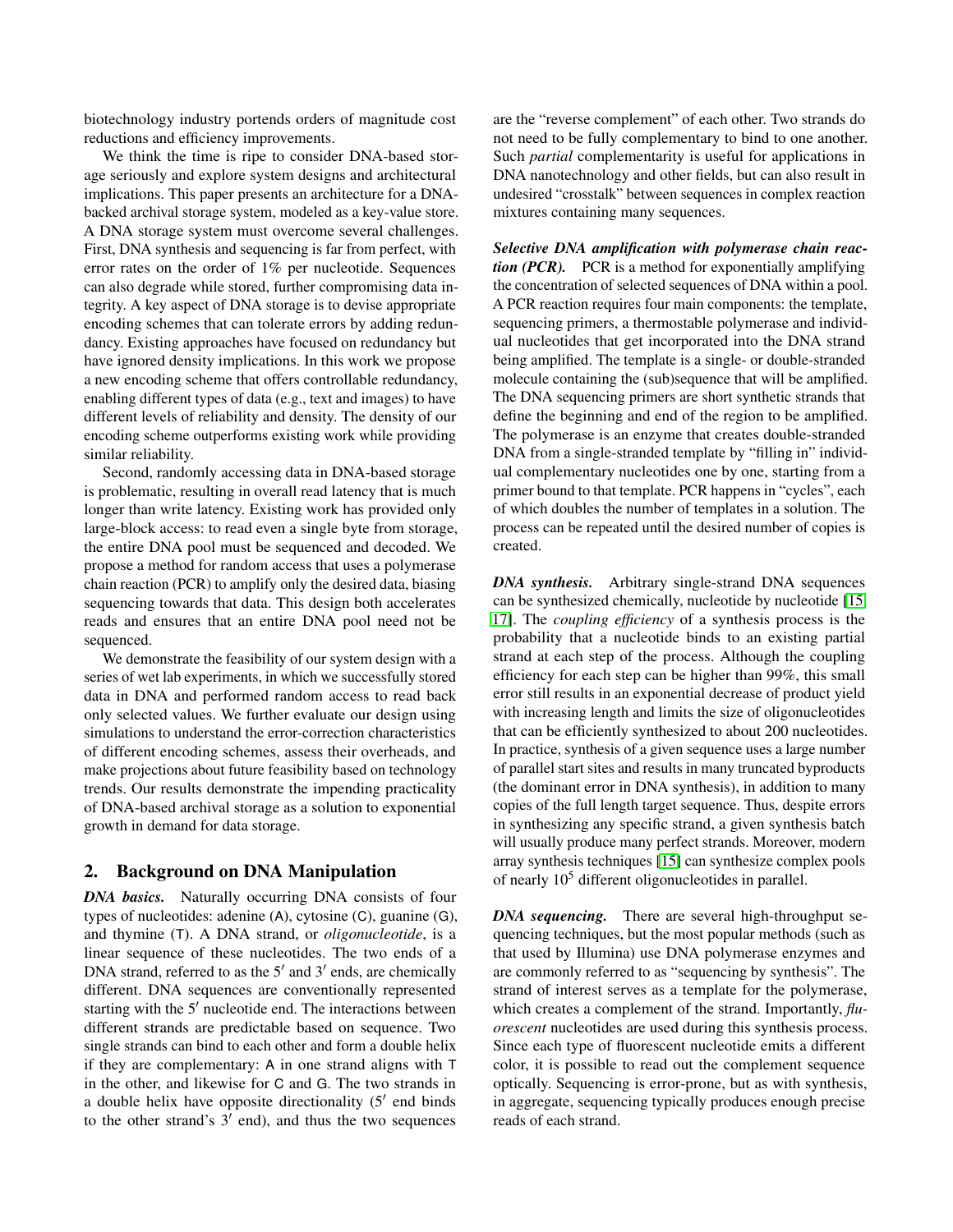biotechnology industry portends orders of magnitude cost reductions and efficiency improvements.

We think the time is ripe to consider DNA-based storage seriously and explore system designs and architectural implications. This paper presents an architecture for a DNAbacked archival storage system, modeled as a key-value store. A DNA storage system must overcome several challenges. First, DNA synthesis and sequencing is far from perfect, with error rates on the order of 1% per nucleotide. Sequences can also degrade while stored, further compromising data integrity. A key aspect of DNA storage is to devise appropriate encoding schemes that can tolerate errors by adding redundancy. Existing approaches have focused on redundancy but have ignored density implications. In this work we propose a new encoding scheme that offers controllable redundancy, enabling different types of data (e.g., text and images) to have different levels of reliability and density. The density of our encoding scheme outperforms existing work while providing similar reliability.

Second, randomly accessing data in DNA-based storage is problematic, resulting in overall read latency that is much longer than write latency. Existing work has provided only large-block access: to read even a single byte from storage, the entire DNA pool must be sequenced and decoded. We propose a method for random access that uses a polymerase chain reaction (PCR) to amplify only the desired data, biasing sequencing towards that data. This design both accelerates reads and ensures that an entire DNA pool need not be sequenced.

We demonstrate the feasibility of our system design with a series of wet lab experiments, in which we successfully stored data in DNA and performed random access to read back only selected values. We further evaluate our design using simulations to understand the error-correction characteristics of different encoding schemes, assess their overheads, and make projections about future feasibility based on technology trends. Our results demonstrate the impending practicality of DNA-based archival storage as a solution to exponential growth in demand for data storage.

## 2. Background on DNA Manipulation

*DNA basics.* Naturally occurring DNA consists of four types of nucleotides: adenine (A), cytosine (C), guanine (G), and thymine (T). A DNA strand, or *oligonucleotide*, is a linear sequence of these nucleotides. The two ends of a DNA strand, referred to as the 5' and 3' ends, are chemically different. DNA sequences are conventionally represented starting with the 5' nucleotide end. The interactions between different strands are predictable based on sequence. Two single strands can bind to each other and form a double helix if they are complementary: A in one strand aligns with T in the other, and likewise for C and G. The two strands in a double helix have opposite directionality (5' end binds to the other strand's  $3'$  end), and thus the two sequences

are the "reverse complement" of each other. Two strands do not need to be fully complementary to bind to one another. Such *partial* complementarity is useful for applications in DNA nanotechnology and other fields, but can also result in undesired "crosstalk" between sequences in complex reaction mixtures containing many sequences.

*Selective DNA amplification with polymerase chain reaction (PCR).* PCR is a method for exponentially amplifying the concentration of selected sequences of DNA within a pool. A PCR reaction requires four main components: the template, sequencing primers, a thermostable polymerase and individual nucleotides that get incorporated into the DNA strand being amplified. The template is a single- or double-stranded molecule containing the (sub)sequence that will be amplified. The DNA sequencing primers are short synthetic strands that define the beginning and end of the region to be amplified. The polymerase is an enzyme that creates double-stranded DNA from a single-stranded template by "filling in" individual complementary nucleotides one by one, starting from a primer bound to that template. PCR happens in "cycles", each of which doubles the number of templates in a solution. The process can be repeated until the desired number of copies is created.

*DNA synthesis.* Arbitrary single-strand DNA sequences can be synthesized chemically, nucleotide by nucleotide [\[15,](#page-12-9) [17\]](#page-12-10). The *coupling efficiency* of a synthesis process is the probability that a nucleotide binds to an existing partial strand at each step of the process. Although the coupling efficiency for each step can be higher than 99%, this small error still results in an exponential decrease of product yield with increasing length and limits the size of oligonucleotides that can be efficiently synthesized to about 200 nucleotides. In practice, synthesis of a given sequence uses a large number of parallel start sites and results in many truncated byproducts (the dominant error in DNA synthesis), in addition to many copies of the full length target sequence. Thus, despite errors in synthesizing any specific strand, a given synthesis batch will usually produce many perfect strands. Moreover, modern array synthesis techniques [\[15\]](#page-12-9) can synthesize complex pools of nearly  $10<sup>5</sup>$  different oligonucleotides in parallel.

*DNA sequencing.* There are several high-throughput sequencing techniques, but the most popular methods (such as that used by Illumina) use DNA polymerase enzymes and are commonly referred to as "sequencing by synthesis". The strand of interest serves as a template for the polymerase, which creates a complement of the strand. Importantly, *fluorescent* nucleotides are used during this synthesis process. Since each type of fluorescent nucleotide emits a different color, it is possible to read out the complement sequence optically. Sequencing is error-prone, but as with synthesis, in aggregate, sequencing typically produces enough precise reads of each strand.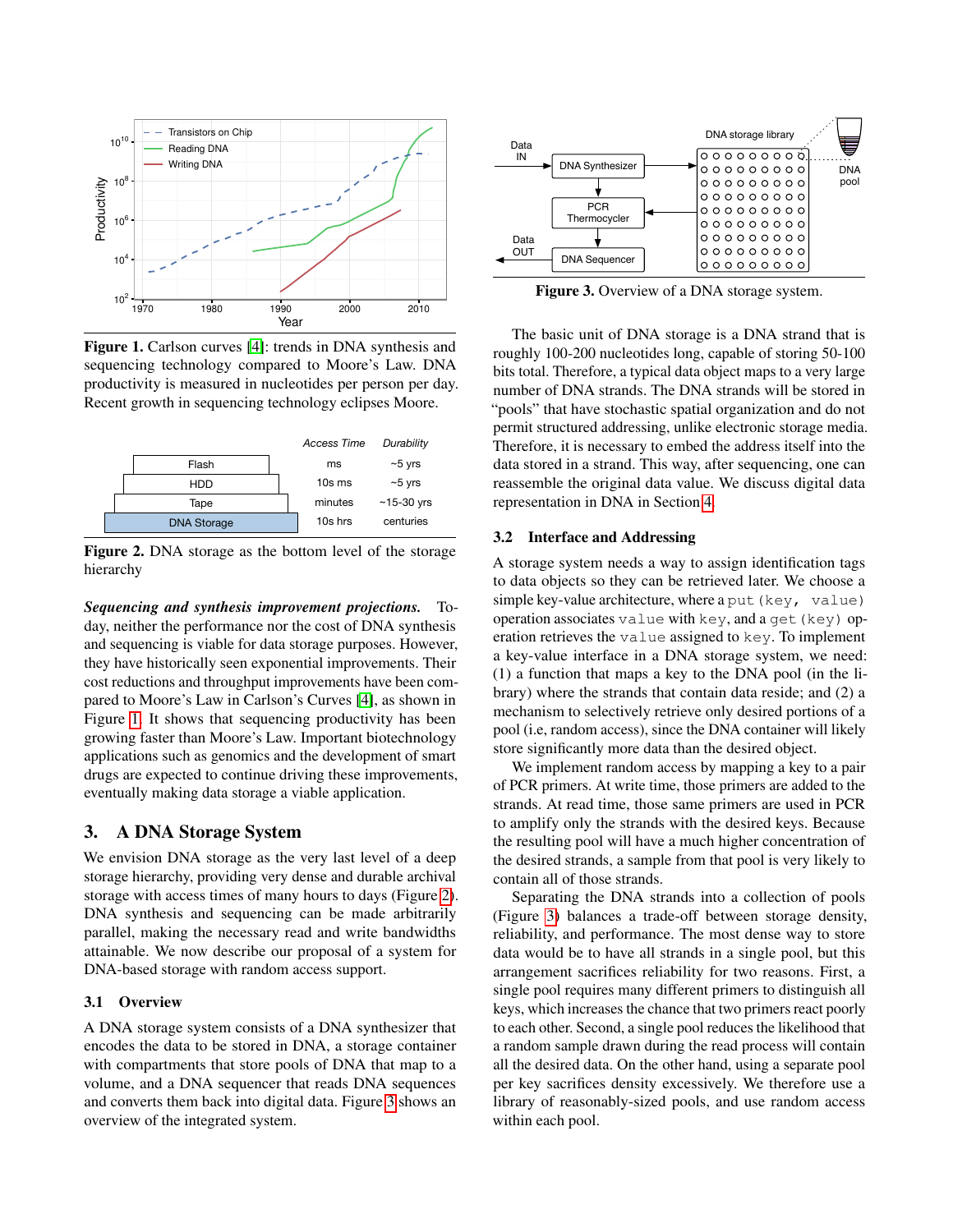<span id="page-2-0"></span>

Figure 1. Carlson curves [\[4\]](#page-12-8): trends in DNA synthesis and sequencing technology compared to Moore's Law. DNA productivity is measured in nucleotides per person per day. Recent growth in sequencing technology eclipses Moore.

<span id="page-2-1"></span>

Figure 2. DNA storage as the bottom level of the storage hierarchy

*Sequencing and synthesis improvement projections.* Today, neither the performance nor the cost of DNA synthesis and sequencing is viable for data storage purposes. However, they have historically seen exponential improvements. Their cost reductions and throughput improvements have been compared to Moore's Law in Carlson's Curves [\[4\]](#page-12-8), as shown in Figure [1.](#page-2-0) It shows that sequencing productivity has been growing faster than Moore's Law. Important biotechnology applications such as genomics and the development of smart drugs are expected to continue driving these improvements, eventually making data storage a viable application.

## 3. A DNA Storage System

We envision DNA storage as the very last level of a deep storage hierarchy, providing very dense and durable archival storage with access times of many hours to days (Figure [2\)](#page-2-1). DNA synthesis and sequencing can be made arbitrarily parallel, making the necessary read and write bandwidths attainable. We now describe our proposal of a system for DNA-based storage with random access support.

### 3.1 Overview

A DNA storage system consists of a DNA synthesizer that encodes the data to be stored in DNA, a storage container with compartments that store pools of DNA that map to a volume, and a DNA sequencer that reads DNA sequences and converts them back into digital data. Figure [3](#page-2-2) shows an overview of the integrated system.

<span id="page-2-2"></span>

Figure 3. Overview of a DNA storage system.

The basic unit of DNA storage is a DNA strand that is roughly 100-200 nucleotides long, capable of storing 50-100 bits total. Therefore, a typical data object maps to a very large number of DNA strands. The DNA strands will be stored in "pools" that have stochastic spatial organization and do not permit structured addressing, unlike electronic storage media. Therefore, it is necessary to embed the address itself into the data stored in a strand. This way, after sequencing, one can reassemble the original data value. We discuss digital data representation in DNA in Section [4.](#page-3-0)

#### 3.2 Interface and Addressing

A storage system needs a way to assign identification tags to data objects so they can be retrieved later. We choose a simple key-value architecture, where a put (key, value) operation associates value with key, and a get(key) operation retrieves the value assigned to key. To implement a key-value interface in a DNA storage system, we need: (1) a function that maps a key to the DNA pool (in the library) where the strands that contain data reside; and (2) a mechanism to selectively retrieve only desired portions of a pool (i.e, random access), since the DNA container will likely store significantly more data than the desired object.

We implement random access by mapping a key to a pair of PCR primers. At write time, those primers are added to the strands. At read time, those same primers are used in PCR to amplify only the strands with the desired keys. Because the resulting pool will have a much higher concentration of the desired strands, a sample from that pool is very likely to contain all of those strands.

Separating the DNA strands into a collection of pools (Figure [3\)](#page-2-2) balances a trade-off between storage density, reliability, and performance. The most dense way to store data would be to have all strands in a single pool, but this arrangement sacrifices reliability for two reasons. First, a single pool requires many different primers to distinguish all keys, which increases the chance that two primers react poorly to each other. Second, a single pool reduces the likelihood that a random sample drawn during the read process will contain all the desired data. On the other hand, using a separate pool per key sacrifices density excessively. We therefore use a library of reasonably-sized pools, and use random access within each pool.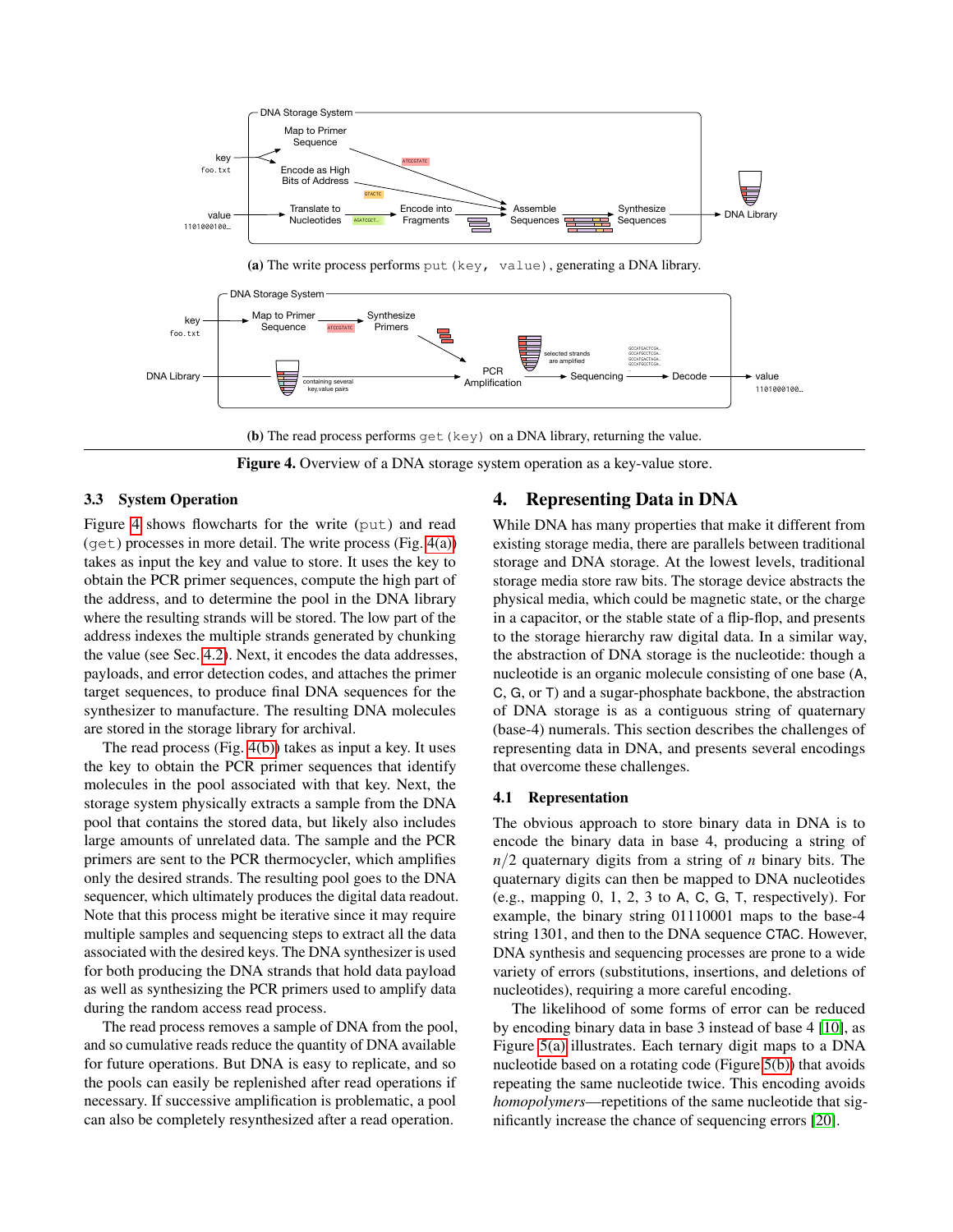<span id="page-3-1"></span>





Figure 4. Overview of a DNA storage system operation as a key-value store.

#### 3.3 System Operation

Figure [4](#page-3-1) shows flowcharts for the write (put) and read (get) processes in more detail. The write process (Fig. [4\(a\)\)](#page-3-1) takes as input the key and value to store. It uses the key to obtain the PCR primer sequences, compute the high part of the address, and to determine the pool in the DNA library where the resulting strands will be stored. The low part of the address indexes the multiple strands generated by chunking the value (see Sec. [4.2\)](#page-4-0). Next, it encodes the data addresses, payloads, and error detection codes, and attaches the primer target sequences, to produce final DNA sequences for the synthesizer to manufacture. The resulting DNA molecules are stored in the storage library for archival.

The read process (Fig. [4\(b\)\)](#page-3-1) takes as input a key. It uses the key to obtain the PCR primer sequences that identify molecules in the pool associated with that key. Next, the storage system physically extracts a sample from the DNA pool that contains the stored data, but likely also includes large amounts of unrelated data. The sample and the PCR primers are sent to the PCR thermocycler, which amplifies only the desired strands. The resulting pool goes to the DNA sequencer, which ultimately produces the digital data readout. Note that this process might be iterative since it may require multiple samples and sequencing steps to extract all the data associated with the desired keys. The DNA synthesizer is used for both producing the DNA strands that hold data payload as well as synthesizing the PCR primers used to amplify data during the random access read process.

The read process removes a sample of DNA from the pool, and so cumulative reads reduce the quantity of DNA available for future operations. But DNA is easy to replicate, and so the pools can easily be replenished after read operations if necessary. If successive amplification is problematic, a pool can also be completely resynthesized after a read operation.

## <span id="page-3-0"></span>4. Representing Data in DNA

While DNA has many properties that make it different from existing storage media, there are parallels between traditional storage and DNA storage. At the lowest levels, traditional storage media store raw bits. The storage device abstracts the physical media, which could be magnetic state, or the charge in a capacitor, or the stable state of a flip-flop, and presents to the storage hierarchy raw digital data. In a similar way, the abstraction of DNA storage is the nucleotide: though a nucleotide is an organic molecule consisting of one base (A, C, G, or T) and a sugar-phosphate backbone, the abstraction of DNA storage is as a contiguous string of quaternary (base-4) numerals. This section describes the challenges of representing data in DNA, and presents several encodings that overcome these challenges.

#### 4.1 Representation

The obvious approach to store binary data in DNA is to encode the binary data in base 4, producing a string of *n*/2 quaternary digits from a string of *n* binary bits. The quaternary digits can then be mapped to DNA nucleotides (e.g., mapping 0, 1, 2, 3 to A, C, G, T, respectively). For example, the binary string 01110001 maps to the base-4 string 1301, and then to the DNA sequence CTAC. However, DNA synthesis and sequencing processes are prone to a wide variety of errors (substitutions, insertions, and deletions of nucleotides), requiring a more careful encoding.

The likelihood of some forms of error can be reduced by encoding binary data in base 3 instead of base 4 [\[10\]](#page-12-6), as Figure [5\(a\)](#page-4-1) illustrates. Each ternary digit maps to a DNA nucleotide based on a rotating code (Figure [5\(b\)\)](#page-4-1) that avoids repeating the same nucleotide twice. This encoding avoids *homopolymers*—repetitions of the same nucleotide that significantly increase the chance of sequencing errors [\[20\]](#page-12-11).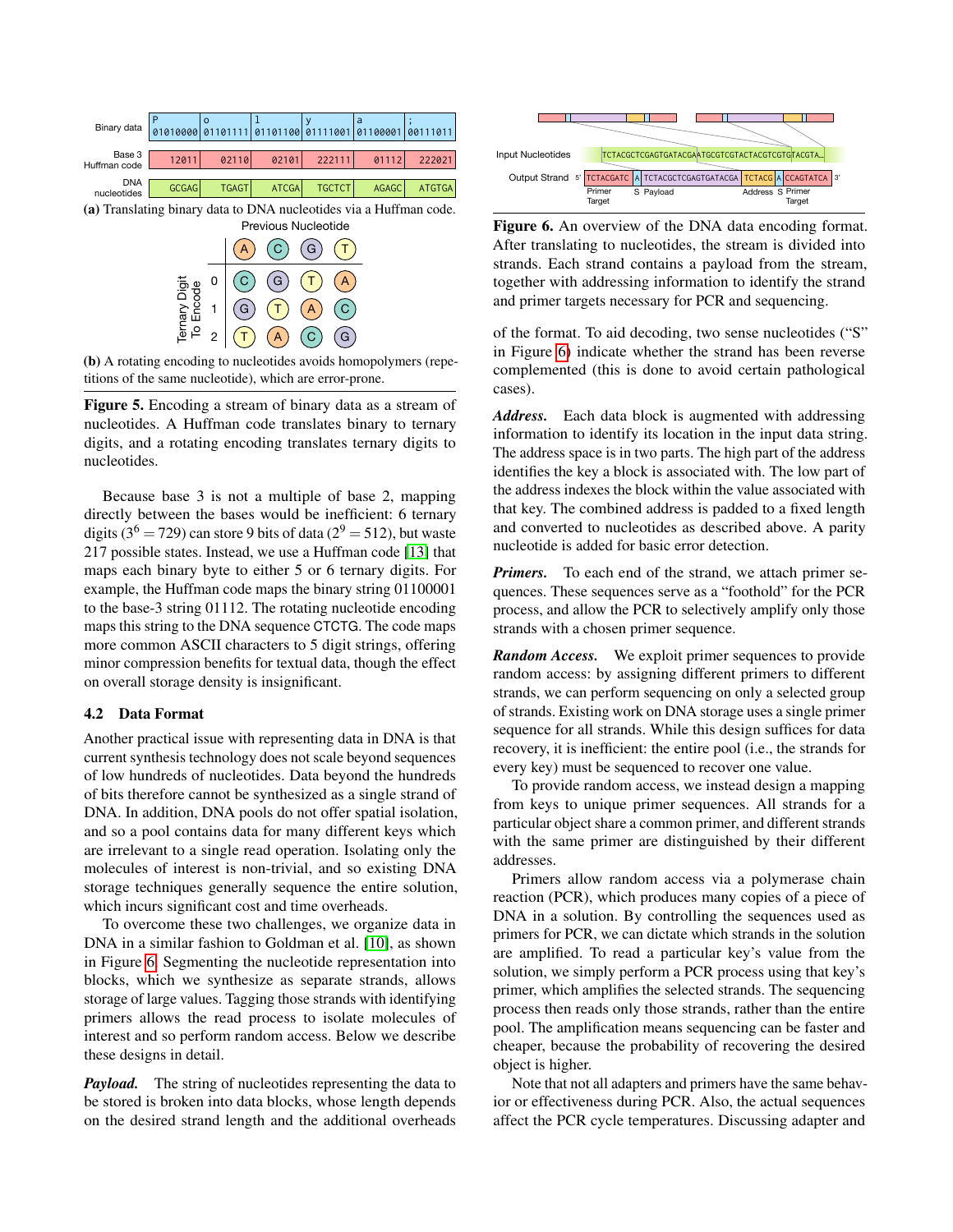<span id="page-4-1"></span>

| Binary data                                                                               |              | o            |              | 01010000 01101111 01101100 01111001 01100001 | a            | 00111011      |
|-------------------------------------------------------------------------------------------|--------------|--------------|--------------|----------------------------------------------|--------------|---------------|
| Base 3<br>Huffman code                                                                    | 12011        | 02110        | 02101        | 222111                                       | 01112        | 222021        |
| <b>DNA</b><br>nucleotides                                                                 | <b>GCGAG</b> | <b>TGAGT</b> | <b>ATCGA</b> | <b>TGCTCT</b>                                | <b>AGAGC</b> | <b>ATGTGA</b> |
| (a) Translating binary data to DNA nucleotides via a Huffman code.<br>Previous Nucleotide |              |              |              |                                              |              |               |



(b) A rotating encoding to nucleotides avoids homopolymers (repetitions of the same nucleotide), which are error-prone.

Figure 5. Encoding a stream of binary data as a stream of nucleotides. A Huffman code translates binary to ternary digits, and a rotating encoding translates ternary digits to nucleotides.

Because base 3 is not a multiple of base 2, mapping directly between the bases would be inefficient: 6 ternary digits (3<sup>6</sup> = 729) can store 9 bits of data (2<sup>9</sup> = 512), but waste 217 possible states. Instead, we use a Huffman code [\[13\]](#page-12-12) that maps each binary byte to either 5 or 6 ternary digits. For example, the Huffman code maps the binary string 01100001 to the base-3 string 01112. The rotating nucleotide encoding maps this string to the DNA sequence CTCTG. The code maps more common ASCII characters to 5 digit strings, offering minor compression benefits for textual data, though the effect on overall storage density is insignificant.

#### <span id="page-4-0"></span>4.2 Data Format

Another practical issue with representing data in DNA is that current synthesis technology does not scale beyond sequences of low hundreds of nucleotides. Data beyond the hundreds of bits therefore cannot be synthesized as a single strand of DNA. In addition, DNA pools do not offer spatial isolation, and so a pool contains data for many different keys which are irrelevant to a single read operation. Isolating only the molecules of interest is non-trivial, and so existing DNA storage techniques generally sequence the entire solution, which incurs significant cost and time overheads.

To overcome these two challenges, we organize data in DNA in a similar fashion to Goldman et al. [\[10\]](#page-12-6), as shown in Figure [6.](#page-4-2) Segmenting the nucleotide representation into blocks, which we synthesize as separate strands, allows storage of large values. Tagging those strands with identifying primers allows the read process to isolate molecules of interest and so perform random access. Below we describe these designs in detail.

*Payload.* The string of nucleotides representing the data to be stored is broken into data blocks, whose length depends on the desired strand length and the additional overheads

<span id="page-4-2"></span>

Figure 6. An overview of the DNA data encoding format. After translating to nucleotides, the stream is divided into strands. Each strand contains a payload from the stream, together with addressing information to identify the strand and primer targets necessary for PCR and sequencing.

of the format. To aid decoding, two sense nucleotides ("S" in Figure [6\)](#page-4-2) indicate whether the strand has been reverse complemented (this is done to avoid certain pathological cases).

*Address.* Each data block is augmented with addressing information to identify its location in the input data string. The address space is in two parts. The high part of the address identifies the key a block is associated with. The low part of the address indexes the block within the value associated with that key. The combined address is padded to a fixed length and converted to nucleotides as described above. A parity nucleotide is added for basic error detection.

*Primers.* To each end of the strand, we attach primer sequences. These sequences serve as a "foothold" for the PCR process, and allow the PCR to selectively amplify only those strands with a chosen primer sequence.

*Random Access.* We exploit primer sequences to provide random access: by assigning different primers to different strands, we can perform sequencing on only a selected group of strands. Existing work on DNA storage uses a single primer sequence for all strands. While this design suffices for data recovery, it is inefficient: the entire pool (i.e., the strands for every key) must be sequenced to recover one value.

To provide random access, we instead design a mapping from keys to unique primer sequences. All strands for a particular object share a common primer, and different strands with the same primer are distinguished by their different addresses.

Primers allow random access via a polymerase chain reaction (PCR), which produces many copies of a piece of DNA in a solution. By controlling the sequences used as primers for PCR, we can dictate which strands in the solution are amplified. To read a particular key's value from the solution, we simply perform a PCR process using that key's primer, which amplifies the selected strands. The sequencing process then reads only those strands, rather than the entire pool. The amplification means sequencing can be faster and cheaper, because the probability of recovering the desired object is higher.

Note that not all adapters and primers have the same behavior or effectiveness during PCR. Also, the actual sequences affect the PCR cycle temperatures. Discussing adapter and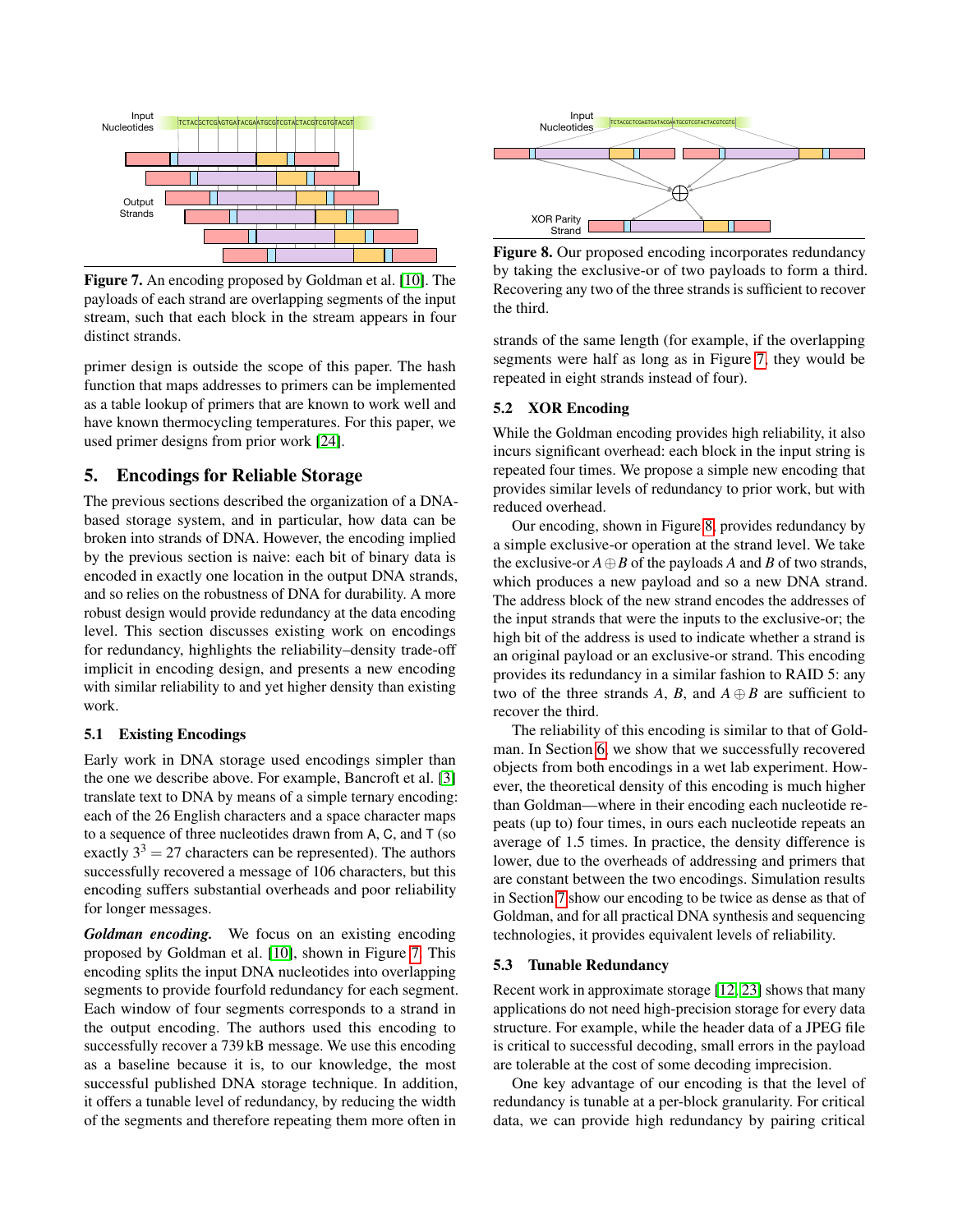<span id="page-5-0"></span>

Figure 7. An encoding proposed by Goldman et al. [\[10\]](#page-12-6). The payloads of each strand are overlapping segments of the input stream, such that each block in the stream appears in four distinct strands.

primer design is outside the scope of this paper. The hash function that maps addresses to primers can be implemented as a table lookup of primers that are known to work well and have known thermocycling temperatures. For this paper, we used primer designs from prior work [\[24\]](#page-12-13).

# <span id="page-5-2"></span>5. Encodings for Reliable Storage

The previous sections described the organization of a DNAbased storage system, and in particular, how data can be broken into strands of DNA. However, the encoding implied by the previous section is naive: each bit of binary data is encoded in exactly one location in the output DNA strands, and so relies on the robustness of DNA for durability. A more robust design would provide redundancy at the data encoding level. This section discusses existing work on encodings for redundancy, highlights the reliability–density trade-off implicit in encoding design, and presents a new encoding with similar reliability to and yet higher density than existing work.

#### 5.1 Existing Encodings

Early work in DNA storage used encodings simpler than the one we describe above. For example, Bancroft et al. [\[3\]](#page-12-14) translate text to DNA by means of a simple ternary encoding: each of the 26 English characters and a space character maps to a sequence of three nucleotides drawn from A, C, and T (so exactly  $3^3 = 27$  characters can be represented). The authors successfully recovered a message of 106 characters, but this encoding suffers substantial overheads and poor reliability for longer messages.

*Goldman encoding.* We focus on an existing encoding proposed by Goldman et al. [\[10\]](#page-12-6), shown in Figure [7.](#page-5-0) This encoding splits the input DNA nucleotides into overlapping segments to provide fourfold redundancy for each segment. Each window of four segments corresponds to a strand in the output encoding. The authors used this encoding to successfully recover a 739 kB message. We use this encoding as a baseline because it is, to our knowledge, the most successful published DNA storage technique. In addition, it offers a tunable level of redundancy, by reducing the width of the segments and therefore repeating them more often in

<span id="page-5-1"></span>

Figure 8. Our proposed encoding incorporates redundancy by taking the exclusive-or of two payloads to form a third. Recovering any two of the three strands is sufficient to recover the third.

strands of the same length (for example, if the overlapping segments were half as long as in Figure [7,](#page-5-0) they would be repeated in eight strands instead of four).

#### 5.2 XOR Encoding

While the Goldman encoding provides high reliability, it also incurs significant overhead: each block in the input string is repeated four times. We propose a simple new encoding that provides similar levels of redundancy to prior work, but with reduced overhead.

Our encoding, shown in Figure [8,](#page-5-1) provides redundancy by a simple exclusive-or operation at the strand level. We take the exclusive-or  $A \oplus B$  of the payloads  $A$  and  $B$  of two strands, which produces a new payload and so a new DNA strand. The address block of the new strand encodes the addresses of the input strands that were the inputs to the exclusive-or; the high bit of the address is used to indicate whether a strand is an original payload or an exclusive-or strand. This encoding provides its redundancy in a similar fashion to RAID 5: any two of the three strands  $A$ ,  $B$ , and  $A \oplus B$  are sufficient to recover the third.

The reliability of this encoding is similar to that of Goldman. In Section [6,](#page-6-0) we show that we successfully recovered objects from both encodings in a wet lab experiment. However, the theoretical density of this encoding is much higher than Goldman—where in their encoding each nucleotide repeats (up to) four times, in ours each nucleotide repeats an average of 1.5 times. In practice, the density difference is lower, due to the overheads of addressing and primers that are constant between the two encodings. Simulation results in Section [7](#page-7-0) show our encoding to be twice as dense as that of Goldman, and for all practical DNA synthesis and sequencing technologies, it provides equivalent levels of reliability.

### 5.3 Tunable Redundancy

Recent work in approximate storage [\[12,](#page-12-15) [23\]](#page-12-16) shows that many applications do not need high-precision storage for every data structure. For example, while the header data of a JPEG file is critical to successful decoding, small errors in the payload are tolerable at the cost of some decoding imprecision.

One key advantage of our encoding is that the level of redundancy is tunable at a per-block granularity. For critical data, we can provide high redundancy by pairing critical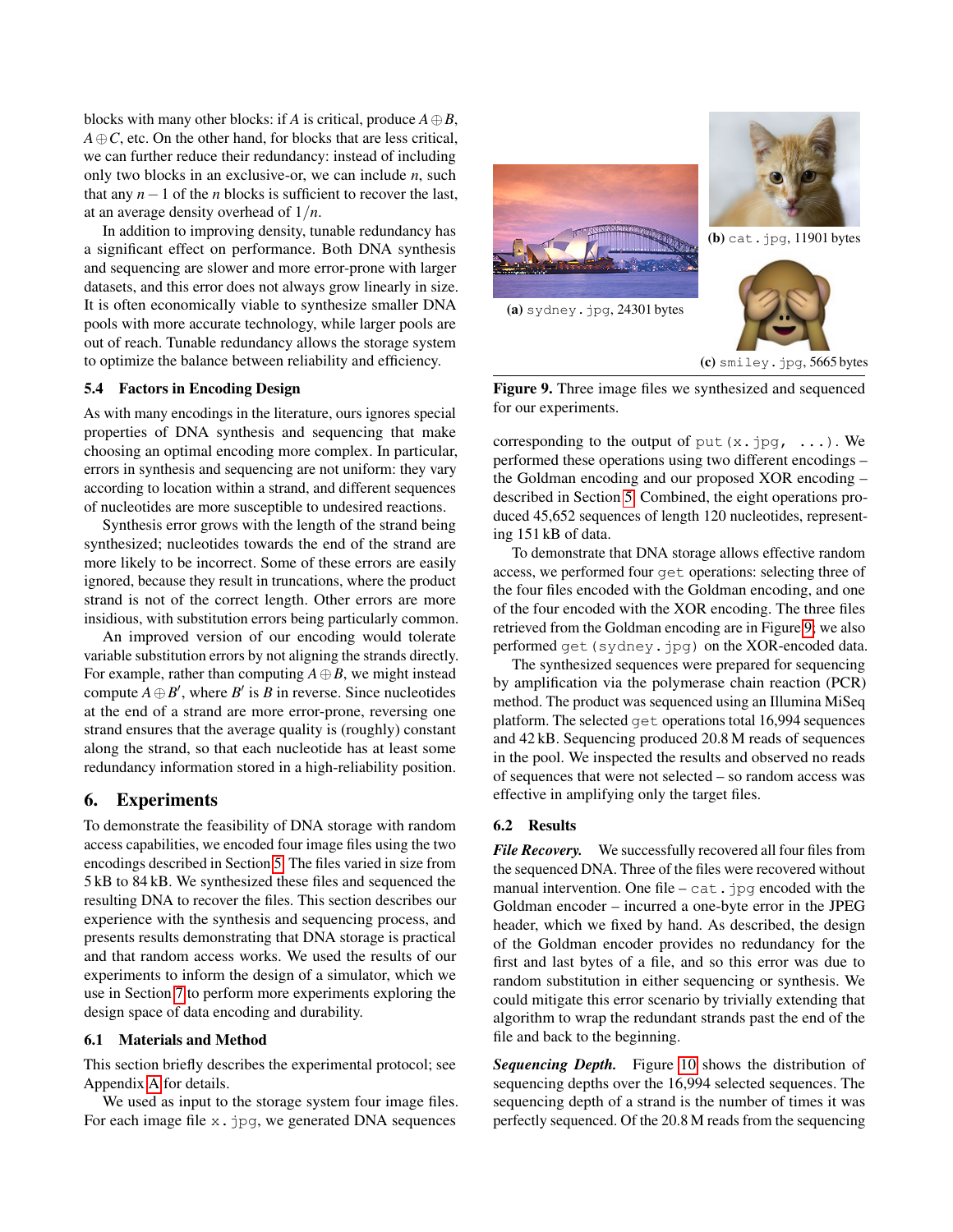blocks with many other blocks: if *A* is critical, produce  $A \oplus B$ ,  $A \oplus C$ , etc. On the other hand, for blocks that are less critical, we can further reduce their redundancy: instead of including only two blocks in an exclusive-or, we can include *n*, such that any  $n-1$  of the *n* blocks is sufficient to recover the last, at an average density overhead of 1/*n*.

In addition to improving density, tunable redundancy has a significant effect on performance. Both DNA synthesis and sequencing are slower and more error-prone with larger datasets, and this error does not always grow linearly in size. It is often economically viable to synthesize smaller DNA pools with more accurate technology, while larger pools are out of reach. Tunable redundancy allows the storage system to optimize the balance between reliability and efficiency.

#### 5.4 Factors in Encoding Design

As with many encodings in the literature, ours ignores special properties of DNA synthesis and sequencing that make choosing an optimal encoding more complex. In particular, errors in synthesis and sequencing are not uniform: they vary according to location within a strand, and different sequences of nucleotides are more susceptible to undesired reactions.

Synthesis error grows with the length of the strand being synthesized; nucleotides towards the end of the strand are more likely to be incorrect. Some of these errors are easily ignored, because they result in truncations, where the product strand is not of the correct length. Other errors are more insidious, with substitution errors being particularly common.

An improved version of our encoding would tolerate variable substitution errors by not aligning the strands directly. For example, rather than computing  $A \oplus B$ , we might instead compute  $\overline{A} \oplus \overline{B}'$ , where  $\overline{B}'$  is  $\overline{B}$  in reverse. Since nucleotides at the end of a strand are more error-prone, reversing one strand ensures that the average quality is (roughly) constant along the strand, so that each nucleotide has at least some redundancy information stored in a high-reliability position.

# <span id="page-6-0"></span>6. Experiments

To demonstrate the feasibility of DNA storage with random access capabilities, we encoded four image files using the two encodings described in Section [5.](#page-5-2) The files varied in size from 5 kB to 84 kB. We synthesized these files and sequenced the resulting DNA to recover the files. This section describes our experience with the synthesis and sequencing process, and presents results demonstrating that DNA storage is practical and that random access works. We used the results of our experiments to inform the design of a simulator, which we use in Section [7](#page-7-0) to perform more experiments exploring the design space of data encoding and durability.

#### 6.1 Materials and Method

This section briefly describes the experimental protocol; see Appendix [A](#page-11-0) for details.

We used as input to the storage system four image files. For each image file x. jpg, we generated DNA sequences

<span id="page-6-1"></span>

Figure 9. Three image files we synthesized and sequenced for our experiments.

corresponding to the output of put  $(x, jpg, \ldots)$ . We performed these operations using two different encodings – the Goldman encoding and our proposed XOR encoding – described in Section [5.](#page-5-2) Combined, the eight operations produced 45,652 sequences of length 120 nucleotides, representing 151 kB of data.

To demonstrate that DNA storage allows effective random access, we performed four get operations: selecting three of the four files encoded with the Goldman encoding, and one of the four encoded with the XOR encoding. The three files retrieved from the Goldman encoding are in Figure [9;](#page-6-1) we also performed get(sydney.jpg) on the XOR-encoded data.

The synthesized sequences were prepared for sequencing by amplification via the polymerase chain reaction (PCR) method. The product was sequenced using an Illumina MiSeq platform. The selected get operations total 16,994 sequences and 42 kB. Sequencing produced 20.8 M reads of sequences in the pool. We inspected the results and observed no reads of sequences that were not selected – so random access was effective in amplifying only the target files.

#### 6.2 Results

*File Recovery.* We successfully recovered all four files from the sequenced DNA. Three of the files were recovered without manual intervention. One file  $-\text{cat.}$  jpg encoded with the Goldman encoder – incurred a one-byte error in the JPEG header, which we fixed by hand. As described, the design of the Goldman encoder provides no redundancy for the first and last bytes of a file, and so this error was due to random substitution in either sequencing or synthesis. We could mitigate this error scenario by trivially extending that algorithm to wrap the redundant strands past the end of the file and back to the beginning.

*Sequencing Depth.* Figure [10](#page-7-1) shows the distribution of sequencing depths over the 16,994 selected sequences. The sequencing depth of a strand is the number of times it was perfectly sequenced. Of the 20.8 M reads from the sequencing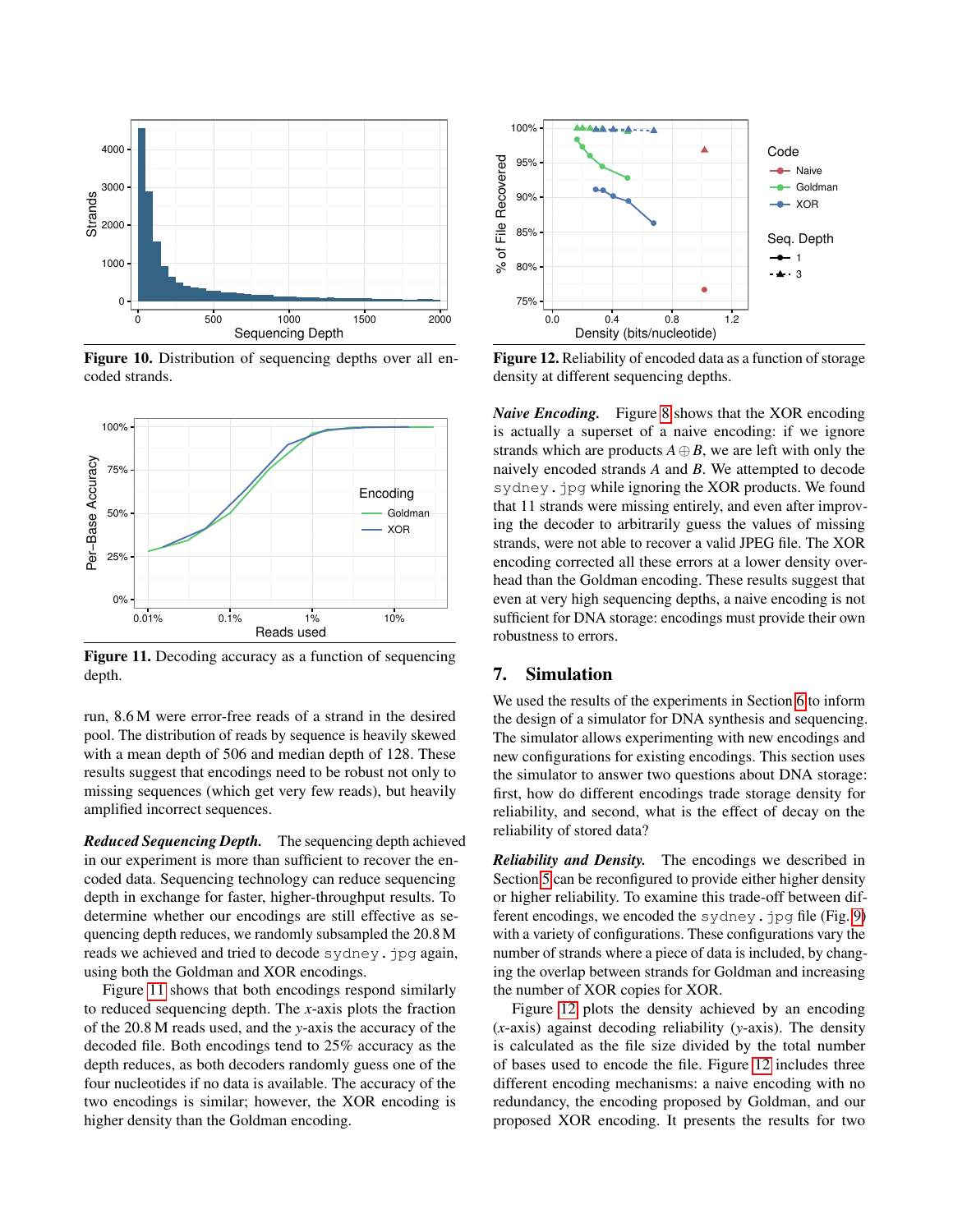<span id="page-7-1"></span>

Figure 10. Distribution of sequencing depths over all encoded strands.

<span id="page-7-2"></span>

Figure 11. Decoding accuracy as a function of sequencing depth.

run, 8.6 M were error-free reads of a strand in the desired pool. The distribution of reads by sequence is heavily skewed with a mean depth of 506 and median depth of 128. These results suggest that encodings need to be robust not only to missing sequences (which get very few reads), but heavily amplified incorrect sequences.

*Reduced Sequencing Depth.* The sequencing depth achieved in our experiment is more than sufficient to recover the encoded data. Sequencing technology can reduce sequencing depth in exchange for faster, higher-throughput results. To determine whether our encodings are still effective as sequencing depth reduces, we randomly subsampled the 20.8 M reads we achieved and tried to decode sydney. jpg again, using both the Goldman and XOR encodings.

Figure [11](#page-7-2) shows that both encodings respond similarly to reduced sequencing depth. The *x*-axis plots the fraction of the 20.8 M reads used, and the *y*-axis the accuracy of the decoded file. Both encodings tend to 25% accuracy as the depth reduces, as both decoders randomly guess one of the four nucleotides if no data is available. The accuracy of the two encodings is similar; however, the XOR encoding is higher density than the Goldman encoding.

<span id="page-7-3"></span>

Figure 12. Reliability of encoded data as a function of storage density at different sequencing depths.

*Naive Encoding.* Figure [8](#page-5-1) shows that the XOR encoding is actually a superset of a naive encoding: if we ignore strands which are products  $A \oplus B$ , we are left with only the naively encoded strands *A* and *B*. We attempted to decode sydney.jpg while ignoring the XOR products. We found that 11 strands were missing entirely, and even after improving the decoder to arbitrarily guess the values of missing strands, were not able to recover a valid JPEG file. The XOR encoding corrected all these errors at a lower density overhead than the Goldman encoding. These results suggest that even at very high sequencing depths, a naive encoding is not sufficient for DNA storage: encodings must provide their own robustness to errors.

# <span id="page-7-0"></span>7. Simulation

We used the results of the experiments in Section [6](#page-6-0) to inform the design of a simulator for DNA synthesis and sequencing. The simulator allows experimenting with new encodings and new configurations for existing encodings. This section uses the simulator to answer two questions about DNA storage: first, how do different encodings trade storage density for reliability, and second, what is the effect of decay on the reliability of stored data?

*Reliability and Density.* The encodings we described in Section [5](#page-5-2) can be reconfigured to provide either higher density or higher reliability. To examine this trade-off between dif-ferent encodings, we encoded the sydney. jpg file (Fig. [9\)](#page-6-1) with a variety of configurations. These configurations vary the number of strands where a piece of data is included, by changing the overlap between strands for Goldman and increasing the number of XOR copies for XOR.

Figure [12](#page-7-3) plots the density achieved by an encoding (*x*-axis) against decoding reliability (*y*-axis). The density is calculated as the file size divided by the total number of bases used to encode the file. Figure [12](#page-7-3) includes three different encoding mechanisms: a naive encoding with no redundancy, the encoding proposed by Goldman, and our proposed XOR encoding. It presents the results for two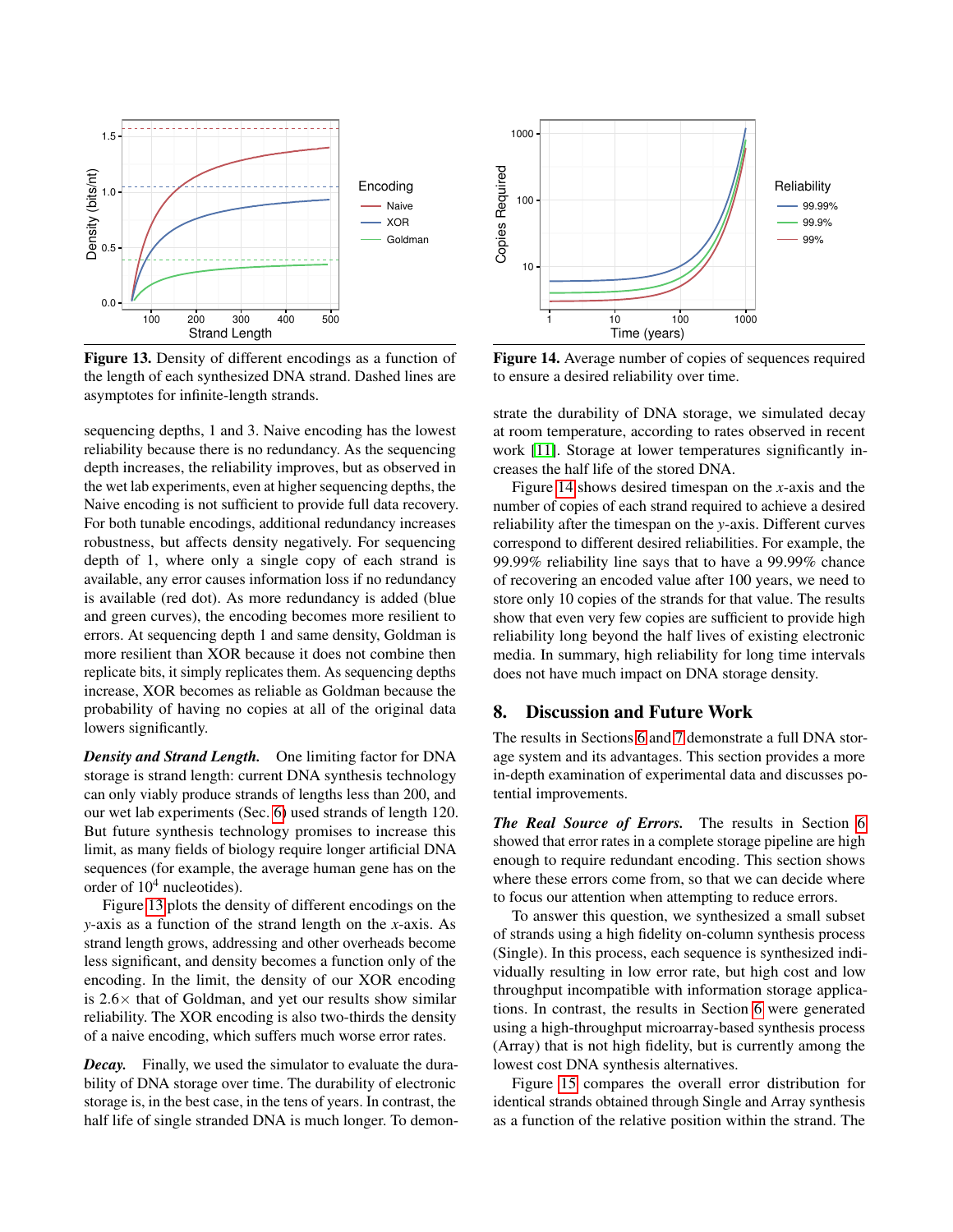<span id="page-8-0"></span>

Figure 13. Density of different encodings as a function of the length of each synthesized DNA strand. Dashed lines are asymptotes for infinite-length strands.

sequencing depths, 1 and 3. Naive encoding has the lowest reliability because there is no redundancy. As the sequencing depth increases, the reliability improves, but as observed in the wet lab experiments, even at higher sequencing depths, the Naive encoding is not sufficient to provide full data recovery. For both tunable encodings, additional redundancy increases robustness, but affects density negatively. For sequencing depth of 1, where only a single copy of each strand is available, any error causes information loss if no redundancy is available (red dot). As more redundancy is added (blue and green curves), the encoding becomes more resilient to errors. At sequencing depth 1 and same density, Goldman is more resilient than XOR because it does not combine then replicate bits, it simply replicates them. As sequencing depths increase, XOR becomes as reliable as Goldman because the probability of having no copies at all of the original data lowers significantly.

*Density and Strand Length.* One limiting factor for DNA storage is strand length: current DNA synthesis technology can only viably produce strands of lengths less than 200, and our wet lab experiments (Sec. [6\)](#page-6-0) used strands of length 120. But future synthesis technology promises to increase this limit, as many fields of biology require longer artificial DNA sequences (for example, the average human gene has on the order of  $10<sup>4</sup>$  nucleotides).

Figure [13](#page-8-0) plots the density of different encodings on the *y*-axis as a function of the strand length on the *x*-axis. As strand length grows, addressing and other overheads become less significant, and density becomes a function only of the encoding. In the limit, the density of our XOR encoding is  $2.6\times$  that of Goldman, and yet our results show similar reliability. The XOR encoding is also two-thirds the density of a naive encoding, which suffers much worse error rates.

*Decay.* Finally, we used the simulator to evaluate the durability of DNA storage over time. The durability of electronic storage is, in the best case, in the tens of years. In contrast, the half life of single stranded DNA is much longer. To demon-

<span id="page-8-1"></span>

Figure 14. Average number of copies of sequences required to ensure a desired reliability over time.

strate the durability of DNA storage, we simulated decay at room temperature, according to rates observed in recent work [\[11\]](#page-12-17). Storage at lower temperatures significantly increases the half life of the stored DNA.

Figure [14](#page-8-1) shows desired timespan on the *x*-axis and the number of copies of each strand required to achieve a desired reliability after the timespan on the *y*-axis. Different curves correspond to different desired reliabilities. For example, the 99.99% reliability line says that to have a 99.99% chance of recovering an encoded value after 100 years, we need to store only 10 copies of the strands for that value. The results show that even very few copies are sufficient to provide high reliability long beyond the half lives of existing electronic media. In summary, high reliability for long time intervals does not have much impact on DNA storage density.

# 8. Discussion and Future Work

The results in Sections [6](#page-6-0) and [7](#page-7-0) demonstrate a full DNA storage system and its advantages. This section provides a more in-depth examination of experimental data and discusses potential improvements.

*The Real Source of Errors.* The results in Section [6](#page-6-0) showed that error rates in a complete storage pipeline are high enough to require redundant encoding. This section shows where these errors come from, so that we can decide where to focus our attention when attempting to reduce errors.

To answer this question, we synthesized a small subset of strands using a high fidelity on-column synthesis process (Single). In this process, each sequence is synthesized individually resulting in low error rate, but high cost and low throughput incompatible with information storage applications. In contrast, the results in Section [6](#page-6-0) were generated using a high-throughput microarray-based synthesis process (Array) that is not high fidelity, but is currently among the lowest cost DNA synthesis alternatives.

Figure [15](#page-9-0) compares the overall error distribution for identical strands obtained through Single and Array synthesis as a function of the relative position within the strand. The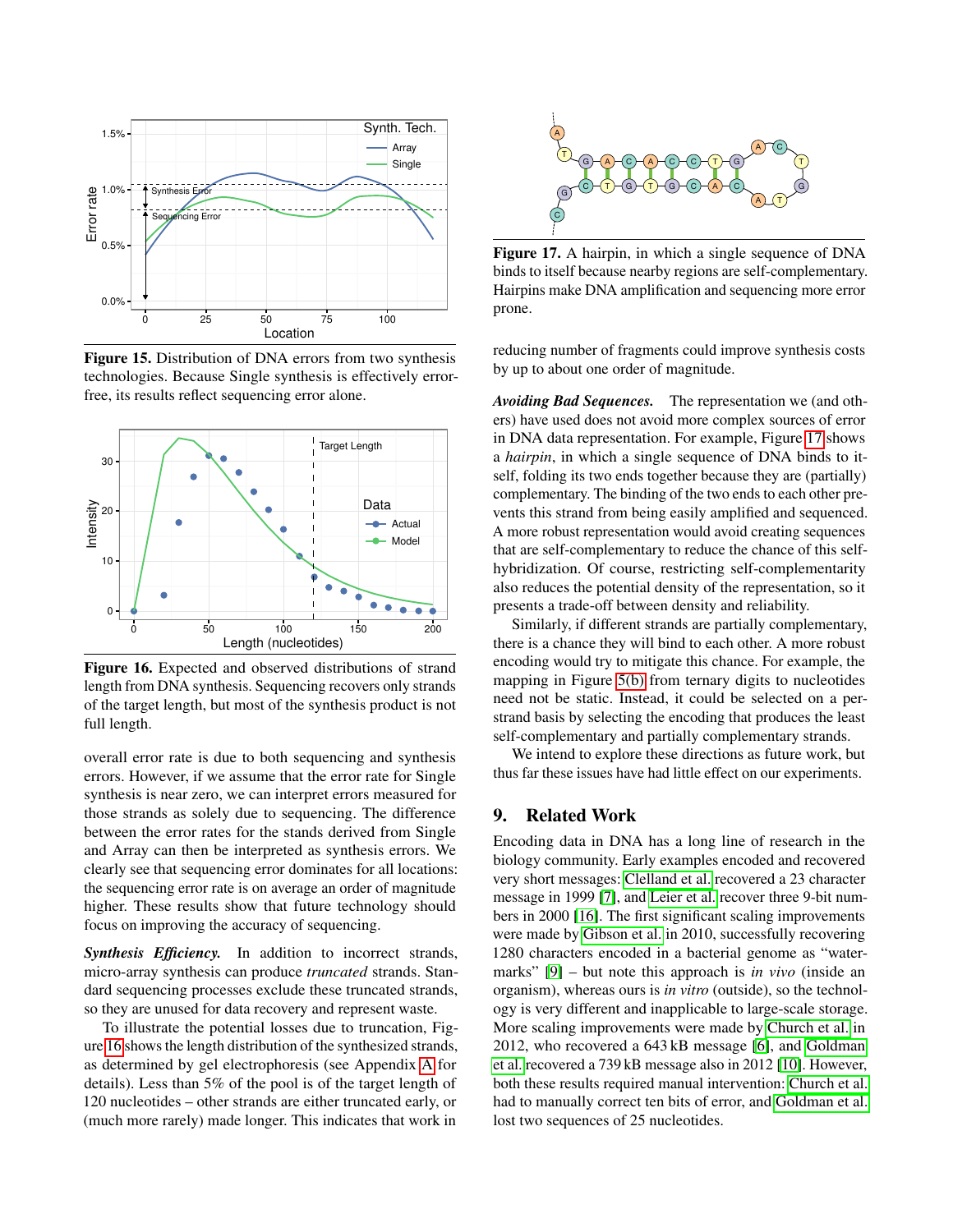<span id="page-9-0"></span>

Figure 15. Distribution of DNA errors from two synthesis technologies. Because Single synthesis is effectively errorfree, its results reflect sequencing error alone.

<span id="page-9-1"></span>

Figure 16. Expected and observed distributions of strand length from DNA synthesis. Sequencing recovers only strands of the target length, but most of the synthesis product is not full length.

overall error rate is due to both sequencing and synthesis errors. However, if we assume that the error rate for Single synthesis is near zero, we can interpret errors measured for those strands as solely due to sequencing. The difference between the error rates for the stands derived from Single and Array can then be interpreted as synthesis errors. We clearly see that sequencing error dominates for all locations: the sequencing error rate is on average an order of magnitude higher. These results show that future technology should focus on improving the accuracy of sequencing.

*Synthesis Efficiency.* In addition to incorrect strands, micro-array synthesis can produce *truncated* strands. Standard sequencing processes exclude these truncated strands, so they are unused for data recovery and represent waste.

To illustrate the potential losses due to truncation, Figure [16](#page-9-1) shows the length distribution of the synthesized strands, as determined by gel electrophoresis (see Appendix [A](#page-11-0) for details). Less than 5% of the pool is of the target length of 120 nucleotides – other strands are either truncated early, or (much more rarely) made longer. This indicates that work in

<span id="page-9-2"></span>

Figure 17. A hairpin, in which a single sequence of DNA binds to itself because nearby regions are self-complementary. Hairpins make DNA amplification and sequencing more error prone.

reducing number of fragments could improve synthesis costs by up to about one order of magnitude.

*Avoiding Bad Sequences.* The representation we (and others) have used does not avoid more complex sources of error in DNA data representation. For example, Figure [17](#page-9-2) shows a *hairpin*, in which a single sequence of DNA binds to itself, folding its two ends together because they are (partially) complementary. The binding of the two ends to each other prevents this strand from being easily amplified and sequenced. A more robust representation would avoid creating sequences that are self-complementary to reduce the chance of this selfhybridization. Of course, restricting self-complementarity also reduces the potential density of the representation, so it presents a trade-off between density and reliability.

Similarly, if different strands are partially complementary, there is a chance they will bind to each other. A more robust encoding would try to mitigate this chance. For example, the mapping in Figure [5\(b\)](#page-4-1) from ternary digits to nucleotides need not be static. Instead, it could be selected on a perstrand basis by selecting the encoding that produces the least self-complementary and partially complementary strands.

We intend to explore these directions as future work, but thus far these issues have had little effect on our experiments.

# 9. Related Work

Encoding data in DNA has a long line of research in the biology community. Early examples encoded and recovered very short messages: [Clelland et al.](#page-12-5) recovered a 23 character message in 1999 [\[7\]](#page-12-5), and [Leier et al.](#page-12-18) recover three 9-bit numbers in 2000 [\[16\]](#page-12-18). The first significant scaling improvements were made by [Gibson et al.](#page-12-19) in 2010, successfully recovering 1280 characters encoded in a bacterial genome as "watermarks" [\[9\]](#page-12-19) – but note this approach is *in vivo* (inside an organism), whereas ours is *in vitro* (outside), so the technology is very different and inapplicable to large-scale storage. More scaling improvements were made by [Church et al.](#page-12-4) in 2012, who recovered a 643 kB message [\[6\]](#page-12-4), and [Goldman](#page-12-6) [et al.](#page-12-6) recovered a 739 kB message also in 2012 [\[10\]](#page-12-6). However, both these results required manual intervention: [Church et al.](#page-12-4) had to manually correct ten bits of error, and [Goldman et al.](#page-12-6) lost two sequences of 25 nucleotides.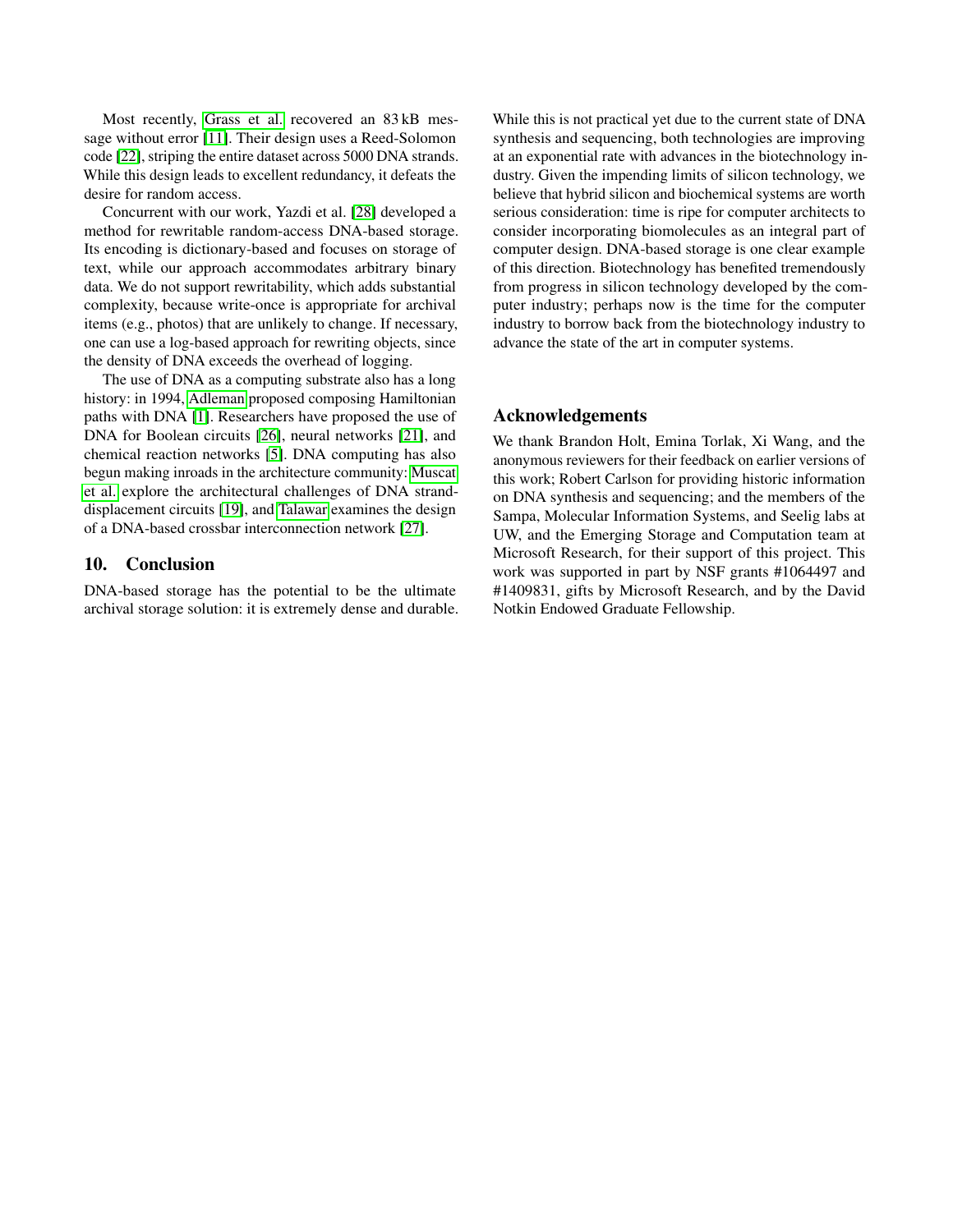Most recently, [Grass et al.](#page-12-17) recovered an 83 kB message without error [\[11\]](#page-12-17). Their design uses a Reed-Solomon code [\[22\]](#page-12-20), striping the entire dataset across 5000 DNA strands. While this design leads to excellent redundancy, it defeats the desire for random access.

Concurrent with our work, Yazdi et al. [\[28\]](#page-12-21) developed a method for rewritable random-access DNA-based storage. Its encoding is dictionary-based and focuses on storage of text, while our approach accommodates arbitrary binary data. We do not support rewritability, which adds substantial complexity, because write-once is appropriate for archival items (e.g., photos) that are unlikely to change. If necessary, one can use a log-based approach for rewriting objects, since the density of DNA exceeds the overhead of logging.

The use of DNA as a computing substrate also has a long history: in 1994, [Adleman](#page-12-22) proposed composing Hamiltonian paths with DNA [\[1\]](#page-12-22). Researchers have proposed the use of DNA for Boolean circuits [\[26\]](#page-12-23), neural networks [\[21\]](#page-12-24), and chemical reaction networks [\[5\]](#page-12-25). DNA computing has also begun making inroads in the architecture community: [Muscat](#page-12-26) [et al.](#page-12-26) explore the architectural challenges of DNA stranddisplacement circuits [\[19\]](#page-12-26), and [Talawar](#page-12-27) examines the design of a DNA-based crossbar interconnection network [\[27\]](#page-12-27).

# 10. Conclusion

DNA-based storage has the potential to be the ultimate archival storage solution: it is extremely dense and durable. While this is not practical yet due to the current state of DNA synthesis and sequencing, both technologies are improving at an exponential rate with advances in the biotechnology industry. Given the impending limits of silicon technology, we believe that hybrid silicon and biochemical systems are worth serious consideration: time is ripe for computer architects to consider incorporating biomolecules as an integral part of computer design. DNA-based storage is one clear example of this direction. Biotechnology has benefited tremendously from progress in silicon technology developed by the computer industry; perhaps now is the time for the computer industry to borrow back from the biotechnology industry to advance the state of the art in computer systems.

## Acknowledgements

We thank Brandon Holt, Emina Torlak, Xi Wang, and the anonymous reviewers for their feedback on earlier versions of this work; Robert Carlson for providing historic information on DNA synthesis and sequencing; and the members of the Sampa, Molecular Information Systems, and Seelig labs at UW, and the Emerging Storage and Computation team at Microsoft Research, for their support of this project. This work was supported in part by NSF grants #1064497 and #1409831, gifts by Microsoft Research, and by the David Notkin Endowed Graduate Fellowship.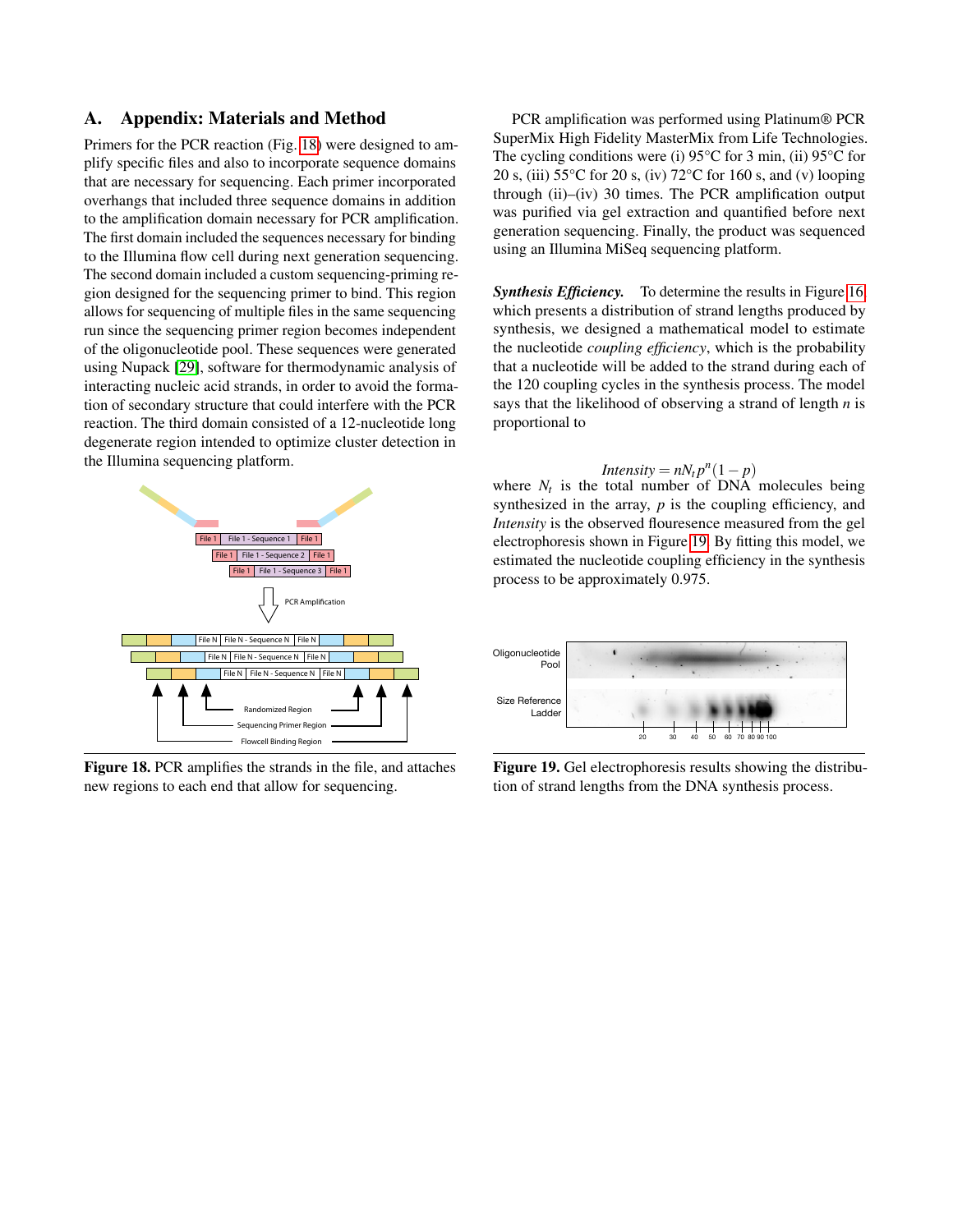# <span id="page-11-0"></span>A. Appendix: Materials and Method

Primers for the PCR reaction (Fig. [18\)](#page-11-1) were designed to amplify specific files and also to incorporate sequence domains that are necessary for sequencing. Each primer incorporated overhangs that included three sequence domains in addition to the amplification domain necessary for PCR amplification. The first domain included the sequences necessary for binding to the Illumina flow cell during next generation sequencing. The second domain included a custom sequencing-priming region designed for the sequencing primer to bind. This region allows for sequencing of multiple files in the same sequencing run since the sequencing primer region becomes independent of the oligonucleotide pool. These sequences were generated using Nupack [\[29\]](#page-12-28), software for thermodynamic analysis of interacting nucleic acid strands, in order to avoid the formation of secondary structure that could interfere with the PCR reaction. The third domain consisted of a 12-nucleotide long degenerate region intended to optimize cluster detection in the Illumina sequencing platform.

<span id="page-11-1"></span>

Figure 18. PCR amplifies the strands in the file, and attaches new regions to each end that allow for sequencing.

PCR amplification was performed using Platinum® PCR SuperMix High Fidelity MasterMix from Life Technologies. The cycling conditions were (i) 95°C for 3 min, (ii) 95°C for 20 s, (iii)  $55^{\circ}$ C for 20 s, (iv)  $72^{\circ}$ C for 160 s, and (v) looping through (ii)–(iv) 30 times. The PCR amplification output was purified via gel extraction and quantified before next generation sequencing. Finally, the product was sequenced using an Illumina MiSeq sequencing platform.

*Synthesis Efficiency.* To determine the results in Figure [16,](#page-9-1) which presents a distribution of strand lengths produced by synthesis, we designed a mathematical model to estimate the nucleotide *coupling efficiency*, which is the probability that a nucleotide will be added to the strand during each of the 120 coupling cycles in the synthesis process. The model says that the likelihood of observing a strand of length *n* is proportional to

# *Intensity* =  $nN_t p^n (1-p)$

where  $N_t$  is the total number of DNA molecules being synthesized in the array,  $p$  is the coupling efficiency, and *Intensity* is the observed flouresence measured from the gel electrophoresis shown in Figure [19.](#page-11-2) By fitting this model, we estimated the nucleotide coupling efficiency in the synthesis process to be approximately 0.975.

<span id="page-11-2"></span>

Figure 19. Gel electrophoresis results showing the distribution of strand lengths from the DNA synthesis process.